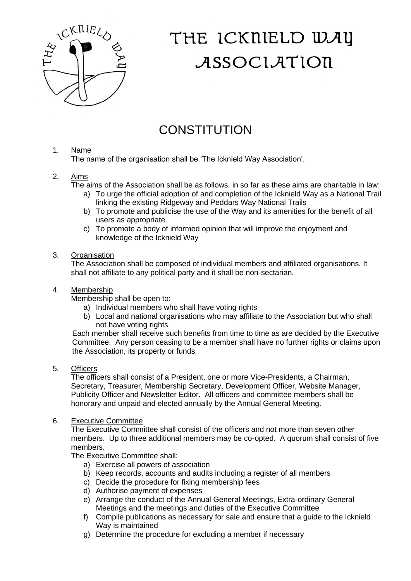

# THE ICKNIELD WAY ASSOCIATION

# **CONSTITUTION**

## 1. Name

The name of the organisation shall be 'The Icknield Way Association'.

### 2. Aims

The aims of the Association shall be as follows, in so far as these aims are charitable in law:

- a) To urge the official adoption of and completion of the Icknield Way as a National Trail linking the existing Ridgeway and Peddars Way National Trails
- b) To promote and publicise the use of the Way and its amenities for the benefit of all users as appropriate.
- c) To promote a body of informed opinion that will improve the enjoyment and knowledge of the Icknield Way

#### 3. Organisation

The Association shall be composed of individual members and affiliated organisations. It shall not affiliate to any political party and it shall be non-sectarian.

#### 4. Membership

Membership shall be open to:

- a) Individual members who shall have voting rights
- b) Local and national organisations who may affiliate to the Association but who shall not have voting rights

Each member shall receive such benefits from time to time as are decided by the Executive Committee. Any person ceasing to be a member shall have no further rights or claims upon the Association, its property or funds.

#### 5. Officers

The officers shall consist of a President, one or more Vice-Presidents, a Chairman, Secretary, Treasurer, Membership Secretary, Development Officer, Website Manager, Publicity Officer and Newsletter Editor. All officers and committee members shall be honorary and unpaid and elected annually by the Annual General Meeting.

#### 6. Executive Committee

The Executive Committee shall consist of the officers and not more than seven other members. Up to three additional members may be co-opted. A quorum shall consist of five members.

The Executive Committee shall:

- a) Exercise all powers of association
- b) Keep records, accounts and audits including a register of all members
- c) Decide the procedure for fixing membership fees
- d) Authorise payment of expenses
- e) Arrange the conduct of the Annual General Meetings, Extra-ordinary General Meetings and the meetings and duties of the Executive Committee
- f) Compile publications as necessary for sale and ensure that a guide to the Icknield Way is maintained
- g) Determine the procedure for excluding a member if necessary